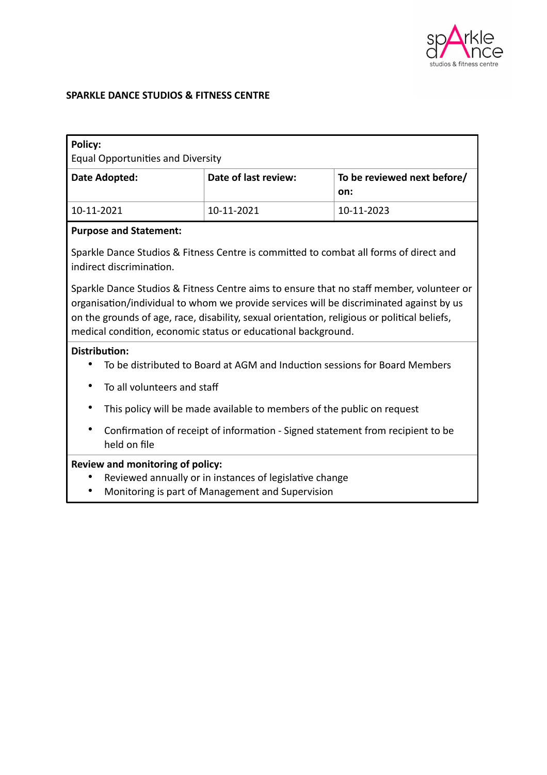

#### **SPARKLE DANCE STUDIOS & FITNESS CENTRE**

| <b>Policy:</b><br><b>Equal Opportunities and Diversity</b> |                      |                                    |
|------------------------------------------------------------|----------------------|------------------------------------|
| Date Adopted:                                              | Date of last review: | To be reviewed next before/<br>on: |
| 10-11-2021                                                 | 10-11-2021           | 10-11-2023                         |
| <b>Purpose and Statement:</b>                              |                      |                                    |

Sparkle Dance Studios & Fitness Centre is committed to combat all forms of direct and indirect discrimination.

Sparkle Dance Studios & Fitness Centre aims to ensure that no staff member, volunteer or organisation/individual to whom we provide services will be discriminated against by us on the grounds of age, race, disability, sexual orientation, religious or political beliefs, medical condition, economic status or educational background.

#### **Distribution:**

- To be distributed to Board at AGM and Induction sessions for Board Members
- To all volunteers and staff
- This policy will be made available to members of the public on request
- Confirmation of receipt of information Signed statement from recipient to be held on file

## **Review and monitoring of policy:**

- Reviewed annually or in instances of legislative change
- Monitoring is part of Management and Supervision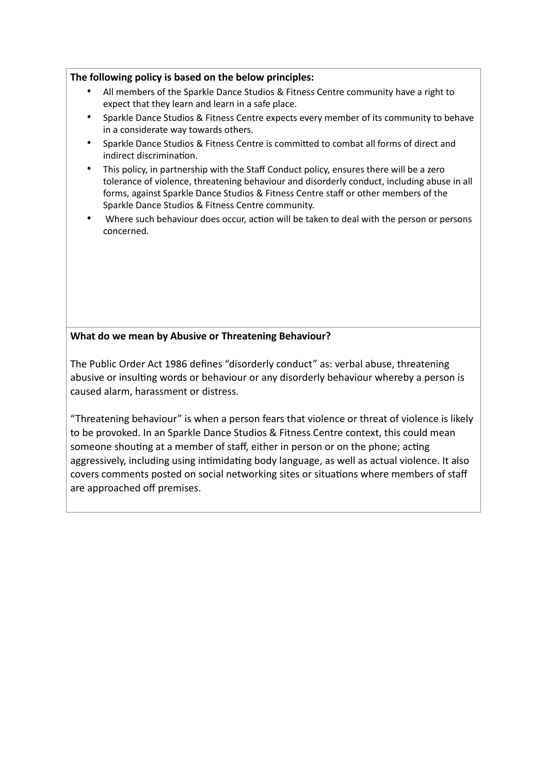#### **The following policy is based on the below principles:**

- All members of the Sparkle Dance Studios & Fitness Centre community have a right to expect that they learn and learn in a safe place.
- Sparkle Dance Studios & Fitness Centre expects every member of its community to behave in a considerate way towards others.
- Sparkle Dance Studios & Fitness Centre is committed to combat all forms of direct and indirect discrimination.
- This policy, in partnership with the Staff Conduct policy, ensures there will be a zero tolerance of violence, threatening behaviour and disorderly conduct, including abuse in all forms, against Sparkle Dance Studios & Fitness Centre staff or other members of the Sparkle Dance Studios & Fitness Centre community.
- Where such behaviour does occur, action will be taken to deal with the person or persons concerned.

#### **What do we mean by Abusive or Threatening Behaviour?**

The Public Order Act 1986 defines "disorderly conduct" as: verbal abuse, threatening abusive or insulting words or behaviour or any disorderly behaviour whereby a person is caused alarm, harassment or distress.

"Threatening behaviour" is when a person fears that violence or threat of violence is likely to be provoked. In an Sparkle Dance Studios & Fitness Centre context, this could mean someone shouting at a member of staff, either in person or on the phone; acting aggressively, including using intimidating body language, as well as actual violence. It also covers comments posted on social networking sites or situations where members of staff are approached off premises.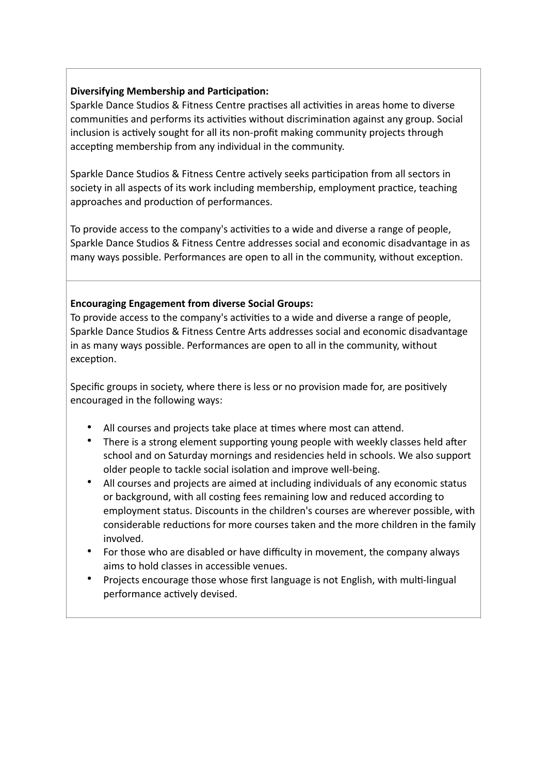#### **Diversifying Membership and Participation:**

Sparkle Dance Studios & Fitness Centre practises all activities in areas home to diverse communities and performs its activities without discrimination against any group. Social inclusion is actively sought for all its non-profit making community projects through accepting membership from any individual in the community.

Sparkle Dance Studios & Fitness Centre actively seeks participation from all sectors in society in all aspects of its work including membership, employment practice, teaching approaches and production of performances.

To provide access to the company's activities to a wide and diverse a range of people, Sparkle Dance Studios & Fitness Centre addresses social and economic disadvantage in as many ways possible. Performances are open to all in the community, without exception.

#### **Encouraging Engagement from diverse Social Groups:**

To provide access to the company's activities to a wide and diverse a range of people, Sparkle Dance Studios & Fitness Centre Arts addresses social and economic disadvantage in as many ways possible. Performances are open to all in the community, without exception.

Specific groups in society, where there is less or no provision made for, are positively encouraged in the following ways:

- All courses and projects take place at times where most can attend.
- There is a strong element supporting young people with weekly classes held after school and on Saturday mornings and residencies held in schools. We also support older people to tackle social isolation and improve well-being.
- All courses and projects are aimed at including individuals of any economic status or background, with all costing fees remaining low and reduced according to employment status. Discounts in the children's courses are wherever possible, with considerable reductions for more courses taken and the more children in the family involved.
- For those who are disabled or have difficulty in movement, the company always aims to hold classes in accessible venues.
- Projects encourage those whose first language is not English, with multi-lingual performance actively devised.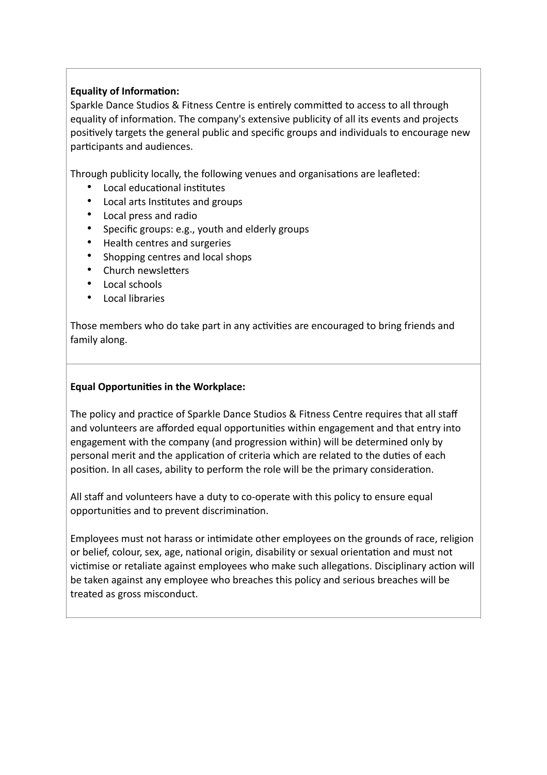# **Equality of Information:**

Sparkle Dance Studios & Fitness Centre is entirely committed to access to all through equality of information. The company's extensive publicity of all its events and projects positively targets the general public and specific groups and individuals to encourage new participants and audiences.

Through publicity locally, the following venues and organisations are leafleted:

- Local educational institutes
- Local arts Institutes and groups
- Local press and radio
- Specific groups: e.g., youth and elderly groups
- Health centres and surgeries
- Shopping centres and local shops
- Church newsletters
- Local schools
- Local libraries

Those members who do take part in any activities are encouraged to bring friends and family along.

## **Equal Opportunities in the Workplace:**

The policy and practice of Sparkle Dance Studios & Fitness Centre requires that all staff and volunteers are afforded equal opportunities within engagement and that entry into engagement with the company (and progression within) will be determined only by personal merit and the application of criteria which are related to the duties of each position. In all cases, ability to perform the role will be the primary consideration.

All staff and volunteers have a duty to co-operate with this policy to ensure equal opportunities and to prevent discrimination.

Employees must not harass or intimidate other employees on the grounds of race, religion or belief, colour, sex, age, national origin, disability or sexual orientation and must not victimise or retaliate against employees who make such allegations. Disciplinary action will be taken against any employee who breaches this policy and serious breaches will be treated as gross misconduct.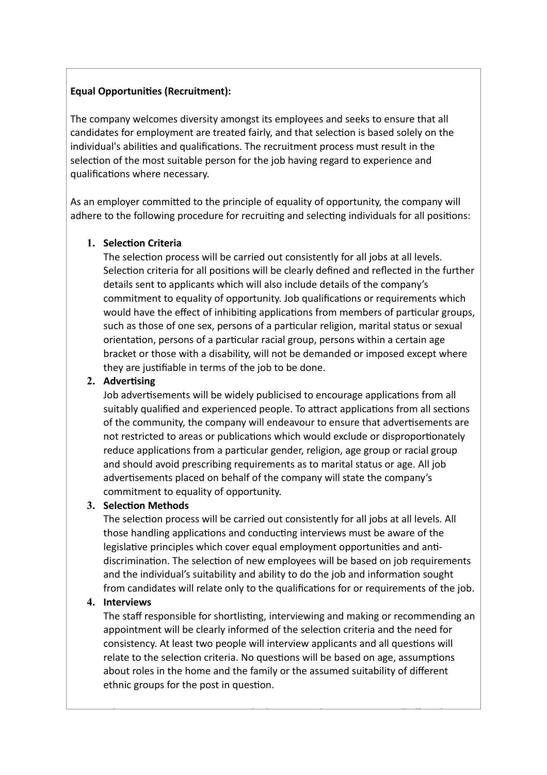# **Equal Opportunities (Recruitment):**

The company welcomes diversity amongst its employees and seeks to ensure that all candidates for employment are treated fairly, and that selection is based solely on the individual's abilities and qualifications. The recruitment process must result in the selection of the most suitable person for the job having regard to experience and qualifications where necessary.

As an employer committed to the principle of equality of opportunity, the company will adhere to the following procedure for recruiting and selecting individuals for all positions:

## **1. Selection Criteria**

The selection process will be carried out consistently for all jobs at all levels. Selection criteria for all positions will be clearly defined and reflected in the further details sent to applicants which will also include details of the company's commitment to equality of opportunity. Job qualifications or requirements which would have the effect of inhibiting applications from members of particular groups, such as those of one sex, persons of a particular religion, marital status or sexual orientation, persons of a particular racial group, persons within a certain age bracket or those with a disability, will not be demanded or imposed except where they are justifiable in terms of the job to be done.

# **2. Advertising**

Job advertisements will be widely publicised to encourage applications from all suitably qualified and experienced people. To attract applications from all sections of the community, the company will endeavour to ensure that advertisements are not restricted to areas or publications which would exclude or disproportionately reduce applications from a particular gender, religion, age group or racial group and should avoid prescribing requirements as to marital status or age. All job advertisements placed on behalf of the company will state the company's commitment to equality of opportunity.

# **3. Selection Methods**

The selection process will be carried out consistently for all jobs at all levels. All those handling applications and conducting interviews must be aware of the legislative principles which cover equal employment opportunities and antidiscrimination. The selection of new employees will be based on job requirements and the individual's suitability and ability to do the job and information sought from candidates will relate only to the qualifications for or requirements of the job.

# **4. Interviews**

The staff responsible for shortlisting, interviewing and making or recommending an appointment will be clearly informed of the selection criteria and the need for consistency. At least two people will interview applicants and all questions will relate to the selection criteria. No questions will be based on age, assumptions about roles in the home and the family or the assumed suitability of different ethnic groups for the post in question.

where it is necessary to assess where  $\mathcal{N}$  is necessary to assess with a few  $\mathcal{N}$